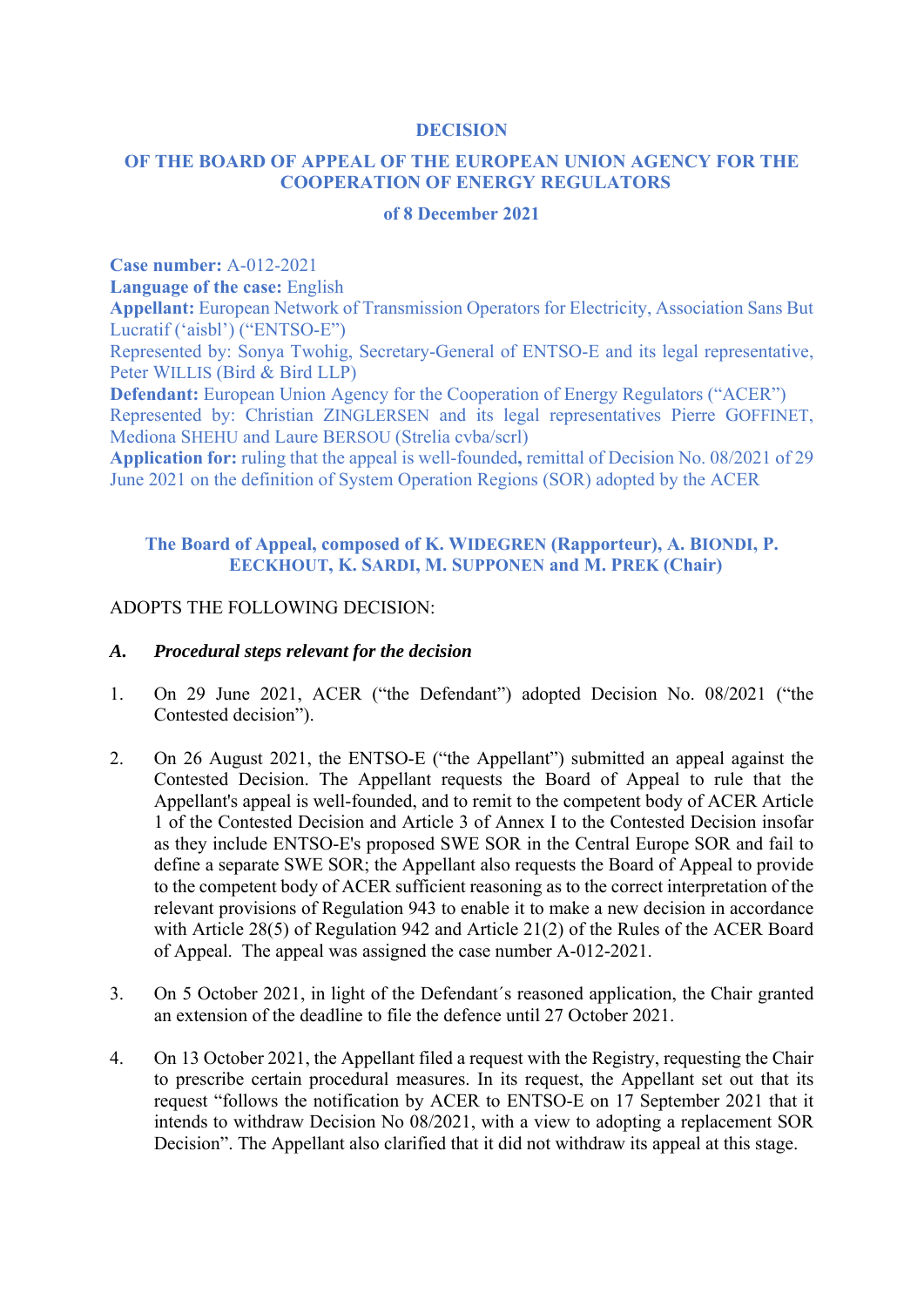#### **DECISION**

## **OF THE BOARD OF APPEAL OF THE EUROPEAN UNION AGENCY FOR THE COOPERATION OF ENERGY REGULATORS**

#### **of 8 December 2021**

**Case number:** A-012-2021

**Language of the case:** English

**Appellant:** European Network of Transmission Operators for Electricity, Association Sans But Lucratif ('aisbl') ("ENTSO-E")

Represented by: Sonya Twohig, Secretary-General of ENTSO-E and its legal representative, Peter WILLIS (Bird & Bird LLP)

**Defendant:** European Union Agency for the Cooperation of Energy Regulators ("ACER") Represented by: Christian ZINGLERSEN and its legal representatives Pierre GOFFINET, Mediona SHEHU and Laure BERSOU (Strelia cvba/scrl)

**Application for:** ruling that the appeal is well-founded**,** remittal of Decision No. 08/2021 of 29 June 2021 on the definition of System Operation Regions (SOR) adopted by the ACER

#### **The Board of Appeal, composed of K. WIDEGREN (Rapporteur), A. BIONDI, P. EECKHOUT, K. SARDI, M. SUPPONEN and M. PREK (Chair)**

#### ADOPTS THE FOLLOWING DECISION:

#### *A. Procedural steps relevant for the decision*

- 1. On 29 June 2021, ACER ("the Defendant") adopted Decision No. 08/2021 ("the Contested decision").
- 2. On 26 August 2021, the ENTSO-E ("the Appellant") submitted an appeal against the Contested Decision. The Appellant requests the Board of Appeal to rule that the Appellant's appeal is well-founded, and to remit to the competent body of ACER Article 1 of the Contested Decision and Article 3 of Annex I to the Contested Decision insofar as they include ENTSO-E's proposed SWE SOR in the Central Europe SOR and fail to define a separate SWE SOR; the Appellant also requests the Board of Appeal to provide to the competent body of ACER sufficient reasoning as to the correct interpretation of the relevant provisions of Regulation 943 to enable it to make a new decision in accordance with Article 28(5) of Regulation 942 and Article 21(2) of the Rules of the ACER Board of Appeal. The appeal was assigned the case number A-012-2021.
- 3. On 5 October 2021, in light of the Defendant´s reasoned application, the Chair granted an extension of the deadline to file the defence until 27 October 2021.
- 4. On 13 October 2021, the Appellant filed a request with the Registry, requesting the Chair to prescribe certain procedural measures. In its request, the Appellant set out that its request "follows the notification by ACER to ENTSO-E on 17 September 2021 that it intends to withdraw Decision No 08/2021, with a view to adopting a replacement SOR Decision". The Appellant also clarified that it did not withdraw its appeal at this stage.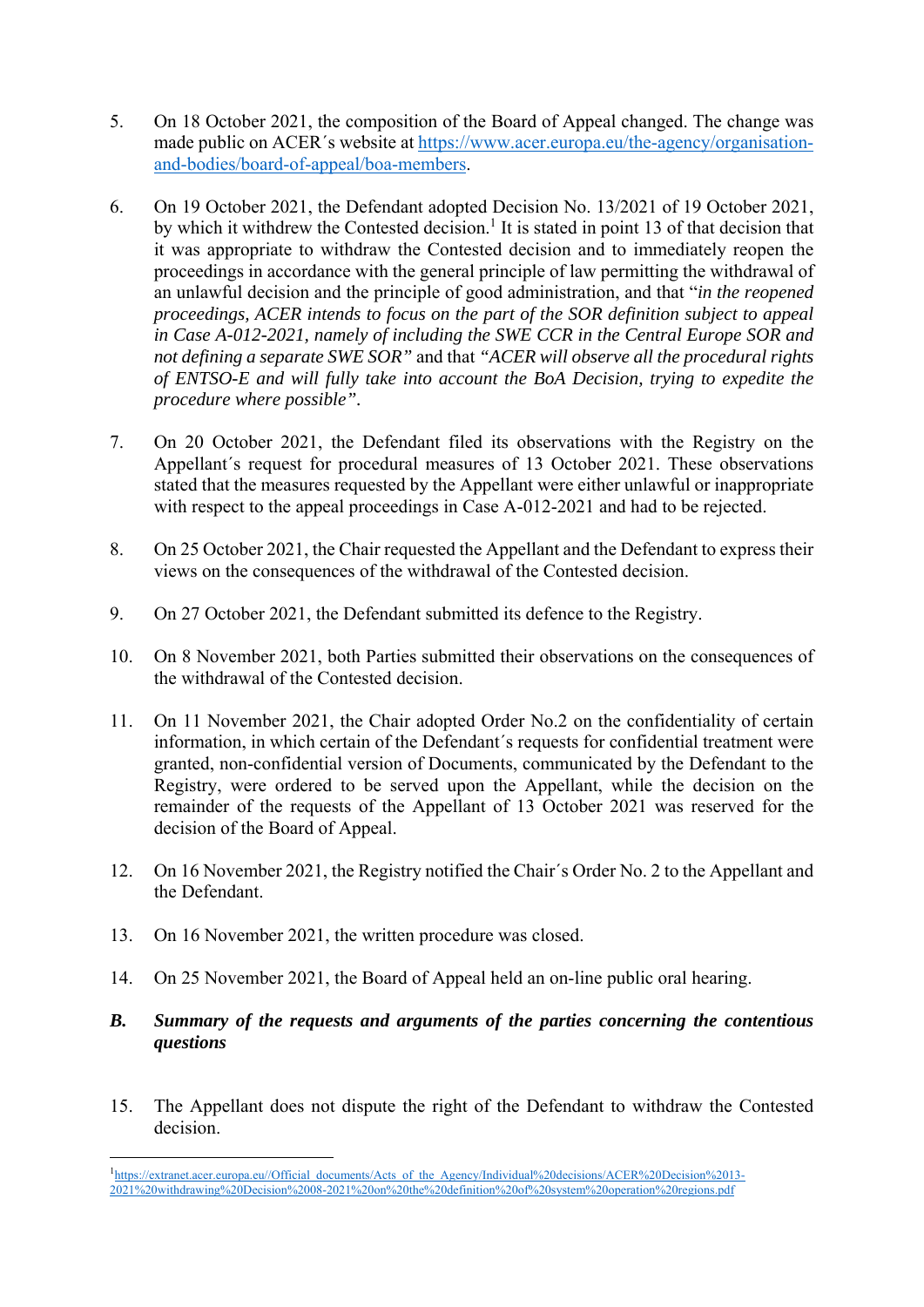- 5. On 18 October 2021, the composition of the Board of Appeal changed. The change was made public on ACER´s website at https://www.acer.europa.eu/the-agency/organisationand-bodies/board-of-appeal/boa-members.
- 6. On 19 October 2021, the Defendant adopted Decision No. 13/2021 of 19 October 2021, by which it withdrew the Contested decision.<sup>1</sup> It is stated in point 13 of that decision that it was appropriate to withdraw the Contested decision and to immediately reopen the proceedings in accordance with the general principle of law permitting the withdrawal of an unlawful decision and the principle of good administration, and that "*in the reopened proceedings, ACER intends to focus on the part of the SOR definition subject to appeal in Case A-012-2021, namely of including the SWE CCR in the Central Europe SOR and not defining a separate SWE SOR"* and that *"ACER will observe all the procedural rights of ENTSO-E and will fully take into account the BoA Decision, trying to expedite the procedure where possible".*
- 7. On 20 October 2021, the Defendant filed its observations with the Registry on the Appellant´s request for procedural measures of 13 October 2021. These observations stated that the measures requested by the Appellant were either unlawful or inappropriate with respect to the appeal proceedings in Case A-012-2021 and had to be rejected.
- 8. On 25 October 2021, the Chair requested the Appellant and the Defendant to express their views on the consequences of the withdrawal of the Contested decision.
- 9. On 27 October 2021, the Defendant submitted its defence to the Registry.
- 10. On 8 November 2021, both Parties submitted their observations on the consequences of the withdrawal of the Contested decision.
- 11. On 11 November 2021, the Chair adopted Order No.2 on the confidentiality of certain information, in which certain of the Defendant´s requests for confidential treatment were granted, non-confidential version of Documents, communicated by the Defendant to the Registry, were ordered to be served upon the Appellant, while the decision on the remainder of the requests of the Appellant of 13 October 2021 was reserved for the decision of the Board of Appeal.
- 12. On 16 November 2021, the Registry notified the Chair´s Order No. 2 to the Appellant and the Defendant.
- 13. On 16 November 2021, the written procedure was closed.
- 14. On 25 November 2021, the Board of Appeal held an on-line public oral hearing.

### *B. Summary of the requests and arguments of the parties concerning the contentious questions*

15. The Appellant does not dispute the right of the Defendant to withdraw the Contested decision.

<sup>1</sup> <sup>1</sup>https://extranet.acer.europa.eu//Official\_documents/Acts\_of\_the\_Agency/Individual%20decisions/ACER%20Decision%2013-2021%20withdrawing%20Decision%2008-2021%20on%20the%20definition%20of%20system%20operation%20regions.pdf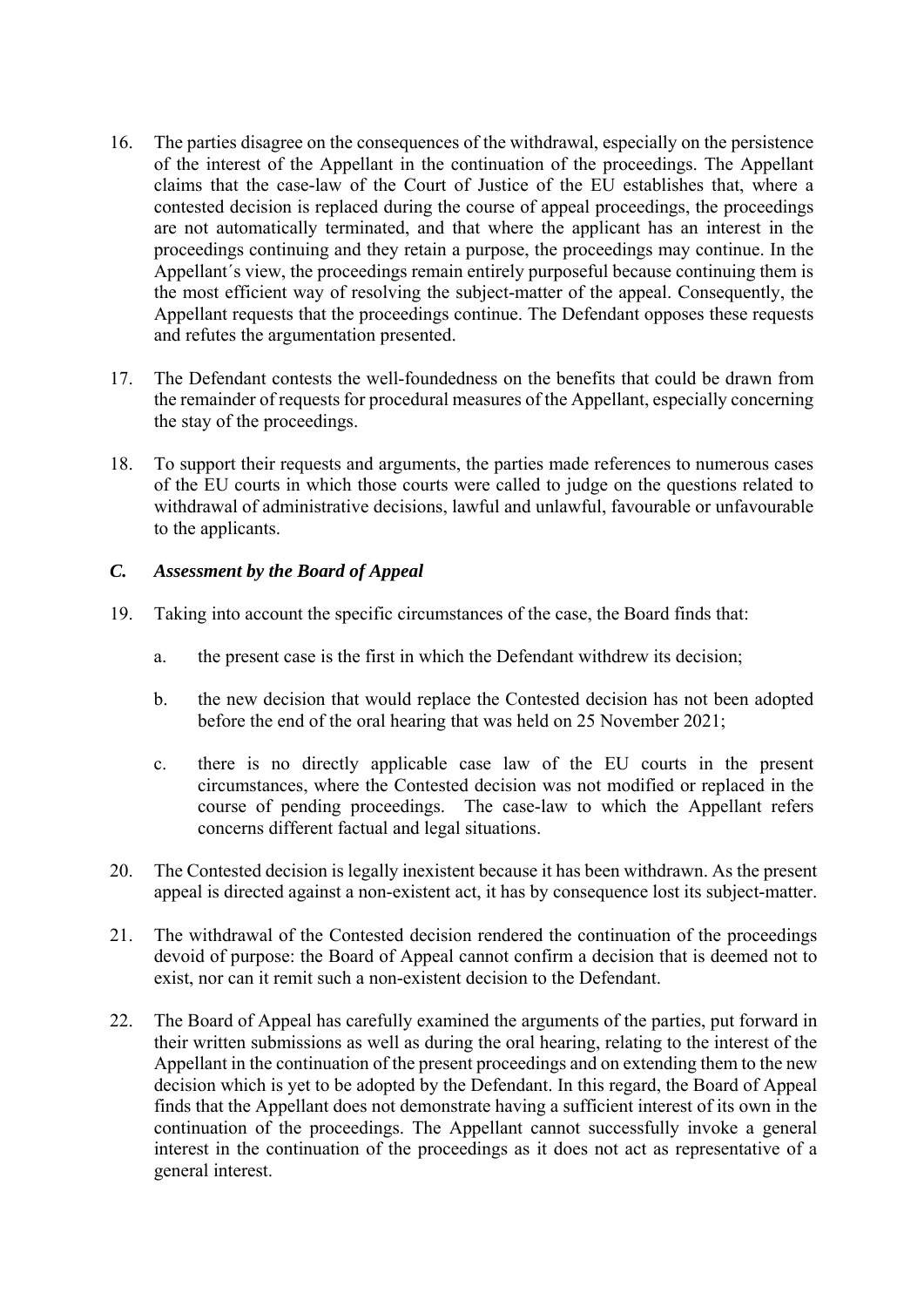- 16. The parties disagree on the consequences of the withdrawal, especially on the persistence of the interest of the Appellant in the continuation of the proceedings. The Appellant claims that the case-law of the Court of Justice of the EU establishes that, where a contested decision is replaced during the course of appeal proceedings, the proceedings are not automatically terminated, and that where the applicant has an interest in the proceedings continuing and they retain a purpose, the proceedings may continue. In the Appellant´s view, the proceedings remain entirely purposeful because continuing them is the most efficient way of resolving the subject-matter of the appeal. Consequently, the Appellant requests that the proceedings continue. The Defendant opposes these requests and refutes the argumentation presented.
- 17. The Defendant contests the well-foundedness on the benefits that could be drawn from the remainder of requests for procedural measures of the Appellant, especially concerning the stay of the proceedings.
- 18. To support their requests and arguments, the parties made references to numerous cases of the EU courts in which those courts were called to judge on the questions related to withdrawal of administrative decisions, lawful and unlawful, favourable or unfavourable to the applicants.

## *C. Assessment by the Board of Appeal*

- 19. Taking into account the specific circumstances of the case, the Board finds that:
	- a. the present case is the first in which the Defendant withdrew its decision;
	- b. the new decision that would replace the Contested decision has not been adopted before the end of the oral hearing that was held on 25 November 2021;
	- c. there is no directly applicable case law of the EU courts in the present circumstances, where the Contested decision was not modified or replaced in the course of pending proceedings. The case-law to which the Appellant refers concerns different factual and legal situations.
- 20. The Contested decision is legally inexistent because it has been withdrawn. As the present appeal is directed against a non-existent act, it has by consequence lost its subject-matter.
- 21. The withdrawal of the Contested decision rendered the continuation of the proceedings devoid of purpose: the Board of Appeal cannot confirm a decision that is deemed not to exist, nor can it remit such a non-existent decision to the Defendant.
- 22. The Board of Appeal has carefully examined the arguments of the parties, put forward in their written submissions as well as during the oral hearing, relating to the interest of the Appellant in the continuation of the present proceedings and on extending them to the new decision which is yet to be adopted by the Defendant. In this regard, the Board of Appeal finds that the Appellant does not demonstrate having a sufficient interest of its own in the continuation of the proceedings. The Appellant cannot successfully invoke a general interest in the continuation of the proceedings as it does not act as representative of a general interest.